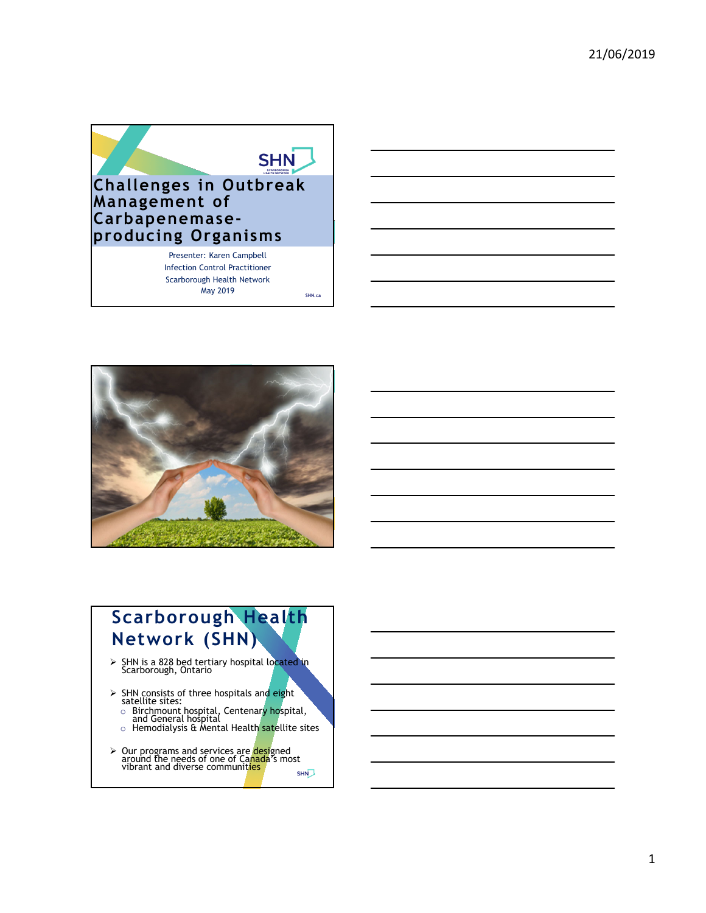



# **Scarborough Health Network (SHN)**

- > SHN is a 828 bed tertiary hospital located in Scarborough, Ontario
- $\triangleright$  SHN consists of three hospitals and eight satellite sites:
	- <sup>o</sup> Birchmount hospital, Centenary hospital, and General hospital
	- $\,\circ\,$  Hemodialysis & Mental Health satellite sites
- ► Our programs and services are designed<br>around the needs of one of Canada's most<br>vibrant and diverse communities SHN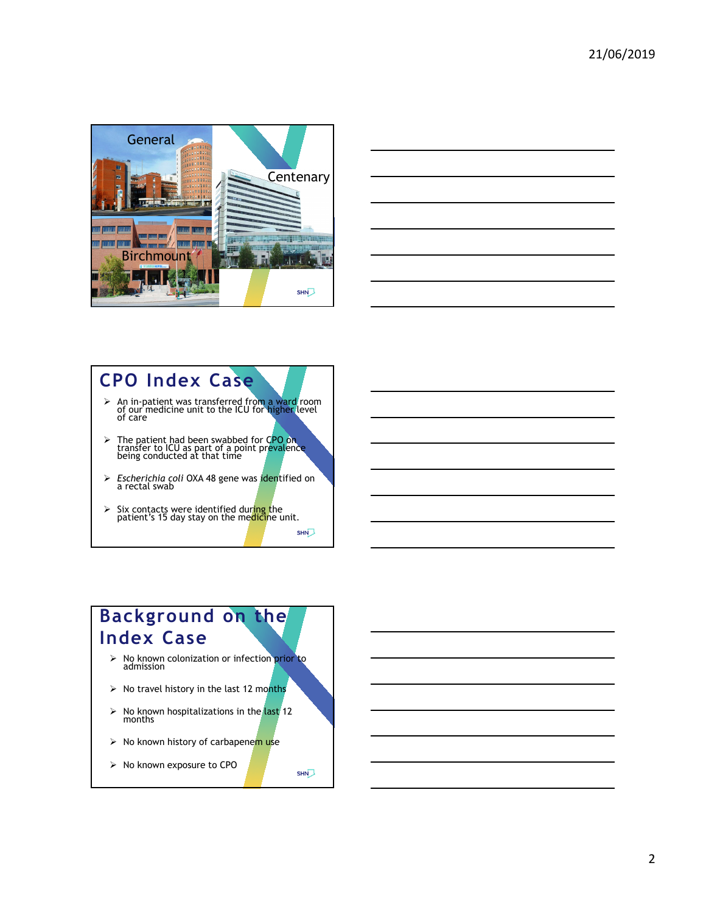

|                                                                                                 |  | $\overline{\phantom{a}}$ |
|-------------------------------------------------------------------------------------------------|--|--------------------------|
|                                                                                                 |  |                          |
|                                                                                                 |  |                          |
| –                                                                                               |  | ——                       |
|                                                                                                 |  |                          |
|                                                                                                 |  |                          |
| _                                                                                               |  |                          |
|                                                                                                 |  |                          |
|                                                                                                 |  |                          |
|                                                                                                 |  |                          |
|                                                                                                 |  |                          |
|                                                                                                 |  |                          |
|                                                                                                 |  |                          |
|                                                                                                 |  |                          |
|                                                                                                 |  |                          |
| the contract of the contract of the contract of the contract of the contract of the contract of |  |                          |

# **CPO Index Case**

- An in-patient was transferred from a ward room of our medicine unit to the ICU for higher level of care
- > The patient had been swabbed for CPO on transfer to ICU as part of a point prevalence being conducted at that time
- *Escherichia coli* OXA 48 gene was identified on a rectal swab

SHN

**SHN** 

 $\triangleright$  Six contacts were identified during the patient's 15 day stay on the medicine unit.

### **Background on the Index Case**

- > No known colonization or infection prior to admission
- $\triangleright$  No travel history in the last 12 months
- $\triangleright$  No known hospitalizations in the last 12 months
- $\triangleright$  No known history of carbapenem use
- $\triangleright$  No known exposure to CPO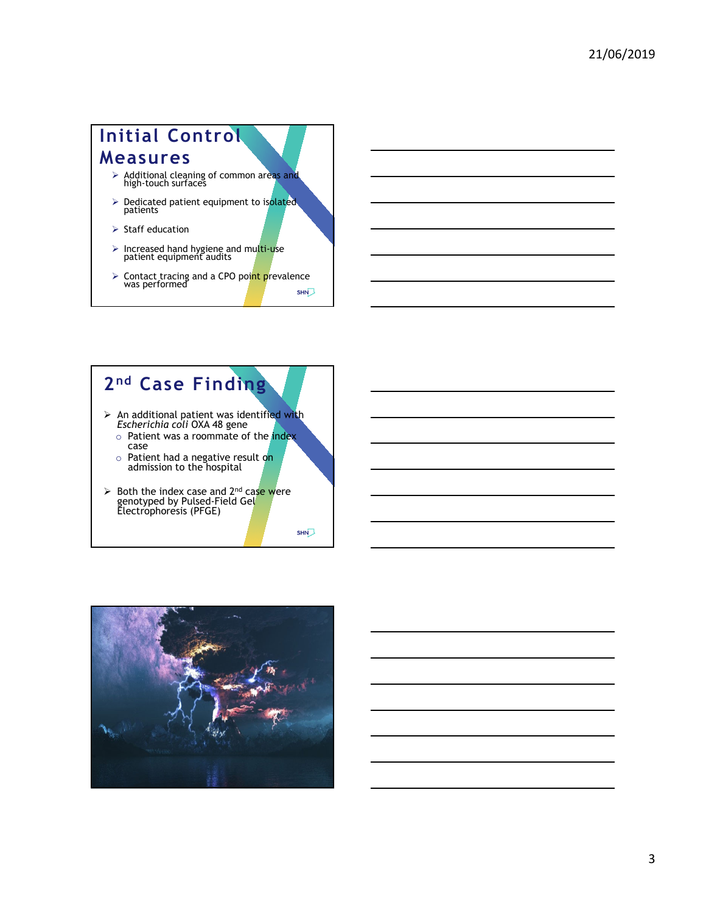# **Initial Control Measures** Additional cleaning of common areas and high-touch surfaces > Dedicated patient equipment to isolated<br>patients  $\triangleright$  Staff education  $\triangleright$  Increased hand hygiene and multi-use patient equipment audits ► Contact tracing and a CPO point prevalence was performed

#### **2nd Case Finding**  $\triangleright$  An additional patient was identified with *Escherichia coli* OXA 48 gene  $\circ$  Patient was a roommate of the index case o Patient had a negative result on admission to the hospital

 $\triangleright$  Both the index case and 2<sup>nd</sup> case were genotyped by Pulsed-Field Gel Electrophoresis (PFGE)

SHN

SHN

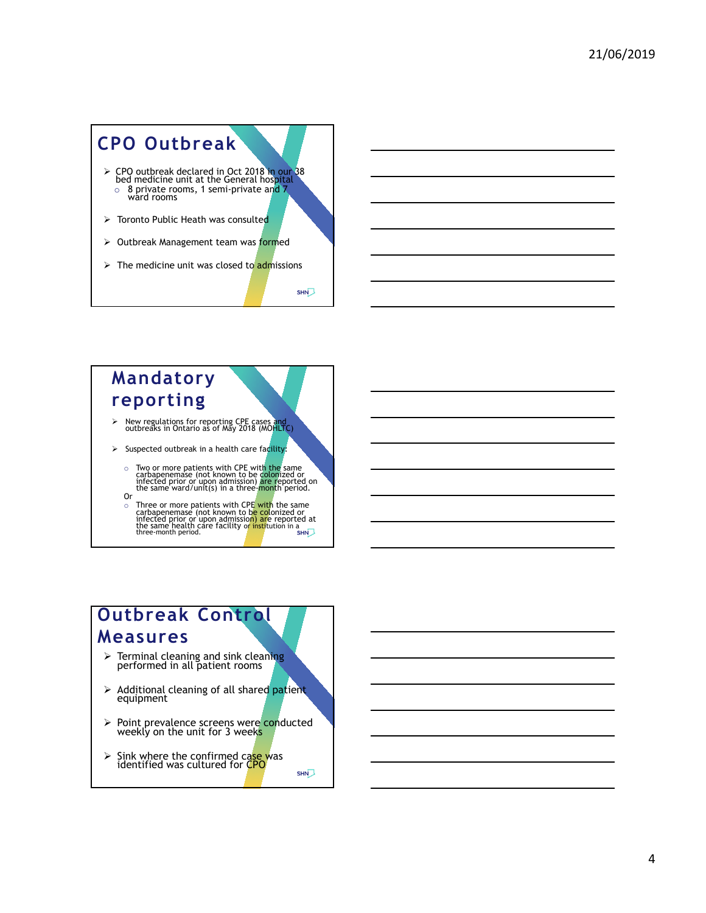

## **Mandatory reporting**

- New regulations for reporting CPE cases and outbreaks in Ontario as of May 2018 (MOHLTC)
- $\triangleright$  Suspected outbreak in a health care facility:
	- Two or more patients with CPE with the same carbapenemase (not known to be colonized or infected or infected or the same ward/unit(s) in a three-month period. Or
	-
	- o Three or more patients with CPE with the same carbapenemase (not known to b<mark>e co</mark>lonized or<br>infected prior or upon admissio<mark>n) ar</mark>e reported at<br>the same health care facility o<mark>r insti</mark>tution in a<br>three-month period.

### **Outbreak Control Measures**

- $\triangleright$  Terminal cleaning and sink cleaning performed in all patient rooms
- $\triangleright$  Additional cleaning of all shared patient equipment
- ► Point prevalence screens were conducted weekly on the unit for 3 weeks
- > Sink where the confirmed case was<br>identified was cultured for CPO **SHN**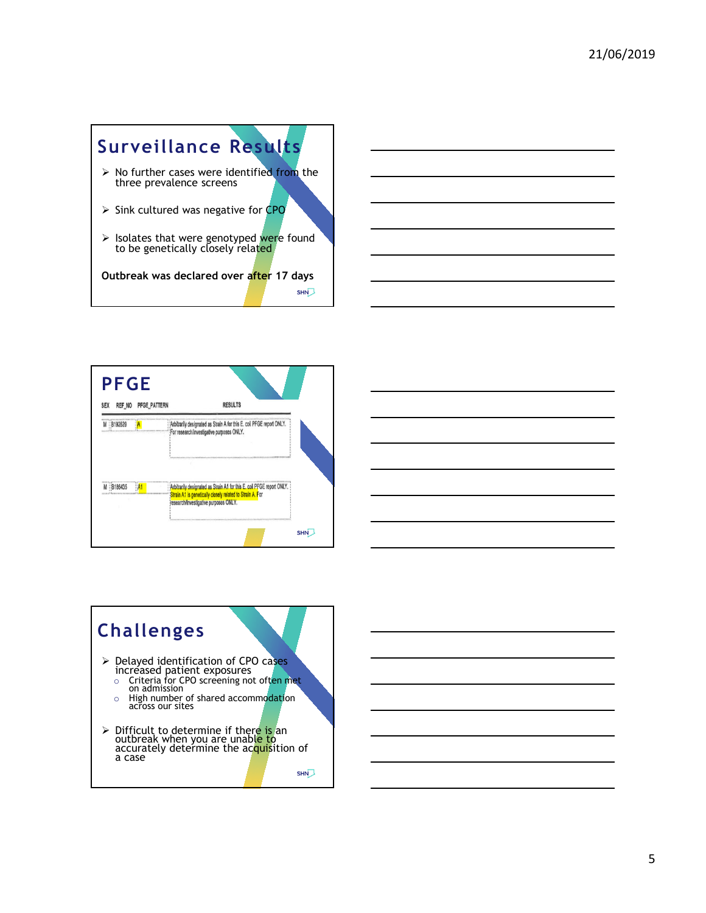





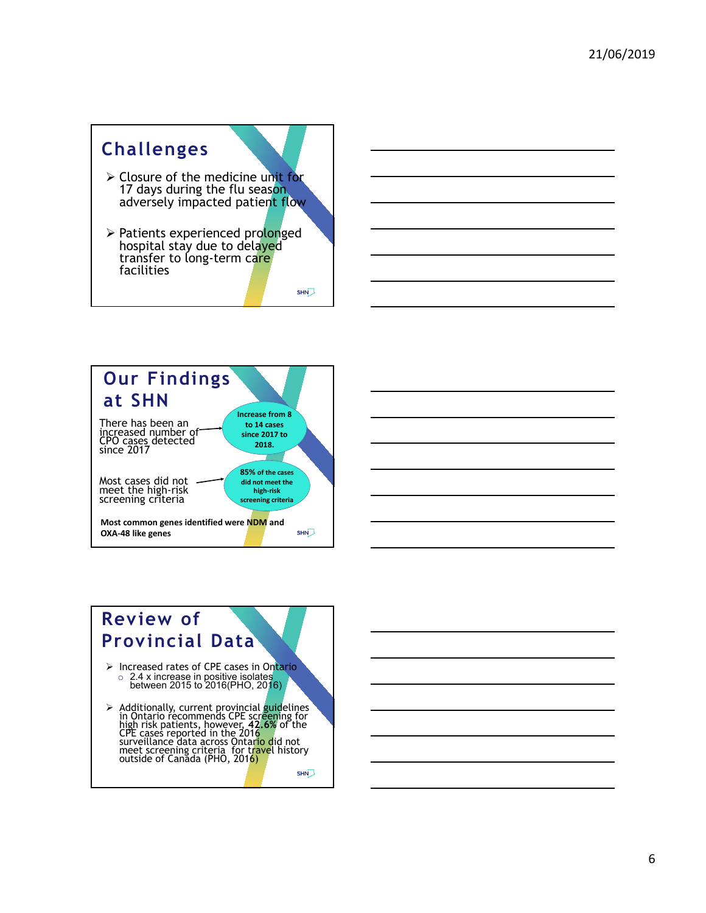





6